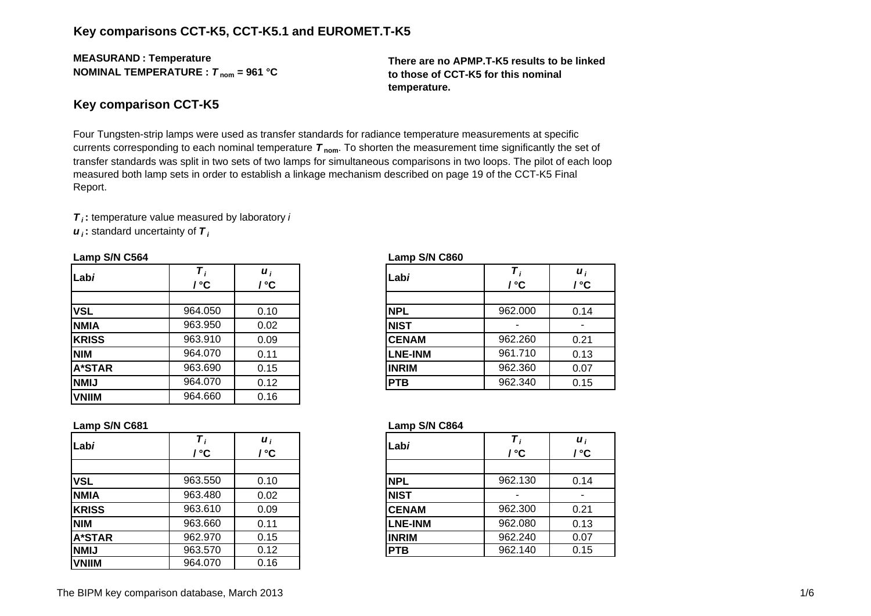## **Key comparisons CCT-K5, CCT-K5.1 and EUROMET.T-K5**

**MEASURAN D : Temperature NOMINAL TEMPERATURE :**  *T* **nom = 961 °C**

**There are no APMP.T-K5 results to be linked to those of CCT-K5 for this nominal temperature.**

#### **Key comparison CCT-K5**

Four Tungsten-strip lamps were used as transfer standards for radiance temperature measurements at specific currents corresponding to each nominal temperature *T* **nom**. To shorten the measurement time significantly the set of transfer standards was split in two sets of two lamps for simultaneous comparisons in two loops. The pilot of each loop measured both lamp sets in order to establish a linkage mechanism described on page 19 of the CCT-K5 Final Report.

*T i* **:** temperature value measured by laboratory *i u i* **:** standard uncertainty of *T i*

| Labi          | °°      | $\boldsymbol{u}_i$<br>/ ℃ | Labi           | / °C    | $\boldsymbol{u}_i$<br>/ °C |
|---------------|---------|---------------------------|----------------|---------|----------------------------|
|               |         |                           |                |         |                            |
| <b>VSL</b>    | 964.050 | 0.10                      | <b>NPL</b>     | 962.000 | 0.14                       |
| <b>NMIA</b>   | 963.950 | 0.02                      | <b>NIST</b>    |         |                            |
| <b>KRISS</b>  | 963.910 | 0.09                      | <b>CENAM</b>   | 962.260 | 0.21                       |
| <b>NIM</b>    | 964.070 | 0.11                      | <b>LNE-INM</b> | 961.710 | 0.13                       |
| <b>A*STAR</b> | 963.690 | 0.15                      | <b>INRIM</b>   | 962.360 | 0.07                       |
| <b>NMIJ</b>   | 964.070 | 0.12                      | <b>PTB</b>     | 962.340 | 0.15                       |
| <b>VNIIM</b>  | 964.660 | 0.16                      |                |         |                            |

#### **Lamp S/N C564 Lamp S/N C860**

| i<br>C.         | Labi           | / °C    | $\boldsymbol{u}_i$<br>/ °C |
|-----------------|----------------|---------|----------------------------|
| $\overline{10}$ | <b>NPL</b>     | 962.000 | 0.14                       |
| $\overline{2}$  | <b>NIST</b>    |         |                            |
| $\overline{5}$  | <b>CENAM</b>   | 962.260 | 0.21                       |
| 11              | <b>LNE-INM</b> | 961.710 | 0.13                       |
| 15              | <b>INRIM</b>   | 962.360 | 0.07                       |
| $\overline{12}$ | <b>PTB</b>     | 962.340 | 0.15                       |

| Lab <i>i</i>  | Τ,<br>' °C | $\boldsymbol{u}_i$<br>' °C | Labi           | / °C    | $\boldsymbol{u}_i$<br>/ °C |
|---------------|------------|----------------------------|----------------|---------|----------------------------|
|               |            |                            |                |         |                            |
| <b>VSL</b>    | 963.550    | 0.10                       | <b>NPL</b>     | 962.130 | 0.14                       |
| <b>NMIA</b>   | 963.480    | 0.02                       | <b>NIST</b>    |         |                            |
| <b>KRISS</b>  | 963.610    | 0.09                       | <b>CENAM</b>   | 962.300 | 0.21                       |
| <b>NIM</b>    | 963.660    | 0.11                       | <b>LNE-INM</b> | 962.080 | 0.13                       |
| <b>A*STAR</b> | 962.970    | 0.15                       | <b>INRIM</b>   | 962.240 | 0.07                       |
| <b>NMIJ</b>   | 963,570    | 0.12                       | <b>PTB</b>     | 962.140 | 0.15                       |
| <b>VNIIM</b>  | 964.070    | 0.16                       |                |         |                            |

#### **Lamp S/N C681 Lamp S/N C864**

| i<br>C          | Labi           | / °C    | $\boldsymbol{u}_i$<br>/ °C |
|-----------------|----------------|---------|----------------------------|
| $\overline{10}$ | <b>NPL</b>     | 962.130 | 0.14                       |
| $\overline{2}$  | <b>NIST</b>    |         |                            |
| )9              | <b>CENAM</b>   | 962.300 | 0.21                       |
| 11              | <b>LNE-INM</b> | 962.080 | 0.13                       |
| $\overline{15}$ | <b>INRIM</b>   | 962.240 | 0.07                       |
| $\overline{12}$ | <b>PTB</b>     | 962.140 | 0.15                       |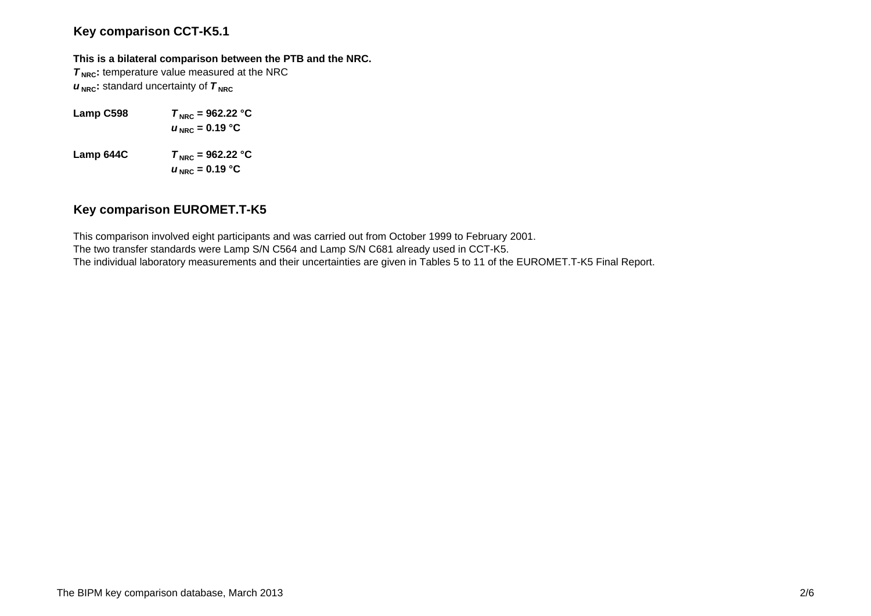## **Key comparison CCT-K5.1**

#### **This is a bilateral comparison between the PTB and the NRC.**

**T<sub>NRC</sub>**: temperature value measured at the NRC  $u_{\text{NRC}}$ : standard uncertainty of  $\tau_{\text{NRC}}$ 

- **Lamp C598**  $T_{\text{NRC}} = 962.22 \text{ °C}$  $u_{\text{NRC}}$  = 0.19 °C
- **Lamp 644C**  $T_{\text{NRC}} = 962.22 \text{ °C}$  $u_{\text{ NRC}}$  = 0.19 °C

### **Key comparison EUROMET.T-K5**

This comparison involved eight participants and was carried out from October 1999 to February 2001. The two transfer standards were Lamp S/N C564 and Lamp S/N C681 already used in CCT-K5. The individual laboratory measurements and their uncertainties are given in Tables 5 to 11 of the EUROMET.T-K5 Final Report.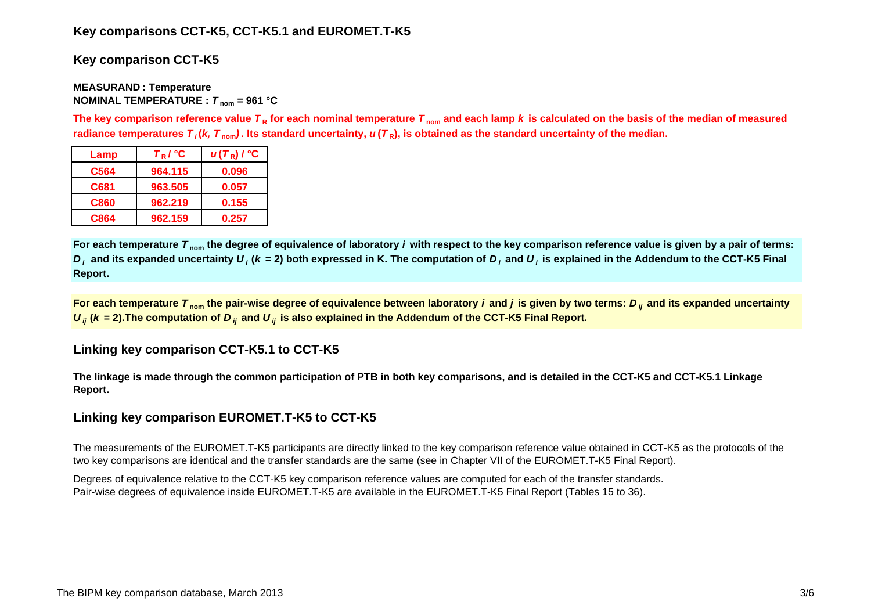# **Key comparisons CCT-K5, CCT-K5.1 and EUROMET.T-K5**

# **Key comparison CCT-K5**

#### **MEASURAN D : Temperature NOMINAL TEMPERATURE :**  *T* **nom = 961 °C**

The key comparison reference value  $\bm{\tau}_{\mathsf{R}}$  for each nominal temperature  $\bm{\tau}_{\mathsf{nom}}$  and each lamp  $\bm{k}$  is calculated on the basis of the median of measured radiance temperatures  $\bm{\tau}_i$ (*k, T*  $_{\rm nom}$ ). Its standard uncertainty,  $\bm{u}(\bm{\tau}_{{\sf R}})$ , is obtained as the standard uncertainty of the median.

| Lamp             | $T_R$ / $^{\circ}$ C | $u(T_R)$ / $^{\circ}$ C |
|------------------|----------------------|-------------------------|
| C <sub>564</sub> | 964.115              | 0.096                   |
| C681             | 963.505              | 0.057                   |
| C860             | 962.219              | 0.155                   |
| C864             | 962.159              | 0.257                   |

**For each temperature**  *T* **nom the degree of equivalence of laboratory** *i* **with respect to the key comparison reference value is given by a pair of terms:**   $D_i$  and its expanded uncertainty  $U_i$  (k = 2) both expressed in K. The computation of  $D_i$  and  $U_i$  is explained in the Addendum to the CCT-K5 Final **Report.**

**For each temperature**  *T* **nom the pair-wise degree of equivalence between laboratory** *i* **and** *j* **is given by two terms:***<sup>D</sup> ij* **and its expanded uncertainty**   $U_{ij}$  ( $k$  = 2).The computation of  $D_{ij}$  and  $U_{ij}$  is also explained in the Addendum of the CCT-K5 Final Report.

# **Linking key comparison CCT-K5.1 to CCT-K5**

**The linkage is made through the common participation of PTB in both key comparisons, and is detailed in the CCT-K5 and CCT-K5.1 Linkage Report.**

# **Linking key comparison EUROMET.T-K5 to CCT-K5**

The measurements of the EUROMET.T-K5 participants are directly linked to the key comparison reference value obtained in CCT-K5 as the protocols of the two key comparisons are identical and the transfer standards are the same (see in Chapter VII of the EUROMET.T-K5 Final Report).

Degrees of equivalence relative to the CCT-K5 key comparison reference values are computed for each of the transfer standards. Pair-wise degrees of equivalence inside EUROMET.T-K5 are available in the EUROMET.T-K5 Final Report (Tables 15 to 36).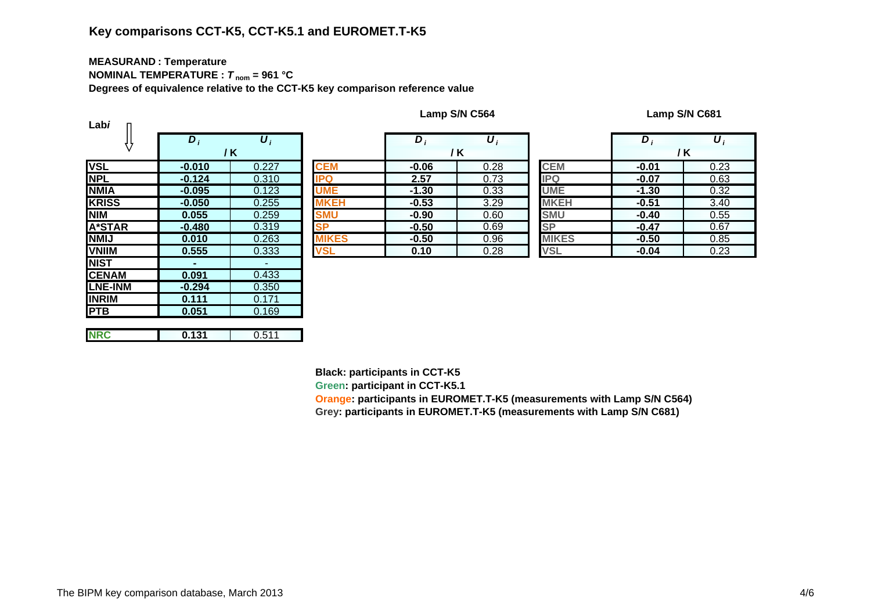# **Key comparisons CCT-K5, CCT-K5.1 and EUROMET.T-K5**

# **MEASURAN D : Temperature**

**NOMINAL TEMPERATURE :**  *T* **nom = 961 °C**

**Degrees of equivalence relative to the CCT-K5 key comparison reference value**

| Labi           |          |       |            |
|----------------|----------|-------|------------|
|                | $D_i$    | $U_i$ |            |
|                |          | / K   |            |
| <b>VSL</b>     | $-0.010$ | 0.227 | <b>CEM</b> |
| <b>NPL</b>     | $-0.124$ | 0.310 | IPQ        |
| <b>NMIA</b>    | $-0.095$ | 0.123 |            |
| <b>KRISS</b>   | $-0.050$ | 0.255 |            |
| <b>NIM</b>     | 0.055    | 0.259 | <b>SMU</b> |
| <b>A*STAR</b>  | $-0.480$ | 0.319 | <b>SP</b>  |
| <b>NMIJ</b>    | 0.010    | 0.263 | KES        |
| <b>VNIIM</b>   | 0.555    | 0.333 | VSL        |
| <b>NIST</b>    |          |       |            |
| <b>CENAM</b>   | 0.091    | 0.433 |            |
| <b>LNE-INM</b> | $-0.294$ | 0.350 |            |
| <b>INRIM</b>   | 0.111    | 0.171 |            |
| <b>PTB</b>     | 0.051    | 0.169 |            |
|                |          |       |            |
| <b>NRC</b>     | 0.131    | 0.511 |            |

|                                          | $D_i$    | $\boldsymbol{U}_i$ |              | $\bm{D}_i$ | $\boldsymbol{U}_i$ |              | D       | $\boldsymbol{U}_i$ |
|------------------------------------------|----------|--------------------|--------------|------------|--------------------|--------------|---------|--------------------|
|                                          |          | / K                |              |            | / K                |              | / K     |                    |
|                                          | $-0.010$ | 0.227              | <b>CEM</b>   | $-0.06$    | 0.28               | <b>CEM</b>   | $-0.01$ | 0.23               |
|                                          | $-0.124$ | 0.310              | <b>IPQ</b>   | 2.57       | 0.73               | <b>IPQ</b>   | $-0.07$ | 0.63               |
| <u>А</u>                                 | $-0.095$ | 0.123              | <b>UME</b>   | $-1.30$    | 0.33               | <b>UME</b>   | $-1.30$ | 0.32               |
| $\overline{\text{s}}\overline{\text{s}}$ | $-0.050$ | 0.255              | <b>MKEH</b>  | $-0.53$    | 3.29               | <b>MKEH</b>  | $-0.51$ | 3.40               |
|                                          | 0.055    | 0.259              | <b>SMU</b>   | $-0.90$    | 0.60               | <b>SMU</b>   | $-0.40$ | 0.55               |
| TAR                                      | $-0.480$ | 0.319              | <b>SP</b>    | $-0.50$    | 0.69               | <b>SP</b>    | $-0.47$ | 0.67               |
|                                          | 0.010    | 0.263              | <b>MIKES</b> | $-0.50$    | 0.96               | <b>MIKES</b> | $-0.50$ | 0.85               |
| $\overline{\mathsf{M}}$                  | 0.555    | 0.333              | VSL          | 0.10       | 0.28               | <b>VSL</b>   | $-0.04$ | 0.23               |

|   | $D_i$   | $\boldsymbol{U}_i$ |              | D,      | U,   |
|---|---------|--------------------|--------------|---------|------|
|   |         | / K                |              |         | / K  |
|   | $-0.06$ | 0.28               | <b>CEM</b>   | $-0.01$ | 0.23 |
|   | 2.57    | 0.73               | <b>IPQ</b>   | $-0.07$ | 0.63 |
|   | $-1.30$ | 0.33               | <b>UME</b>   | $-1.30$ | 0.32 |
|   | $-0.53$ | 3.29               | <b>MKEH</b>  | $-0.51$ | 3.40 |
|   | $-0.90$ | 0.60               | <b>SMU</b>   | $-0.40$ | 0.55 |
|   | $-0.50$ | 0.69               | SP           | $-0.47$ | 0.67 |
| S | $-0.50$ | 0.96               | <b>MIKES</b> | $-0.50$ | 0.85 |
|   | 0.10    | 0.28               | <b>VSL</b>   | $-0.04$ | 0.23 |

**Black: participants in CCT-K5**

**Green: participant in CCT-K5.1**

**Orange: participants in EUROMET.T-K5 (measurements with Lamp S/N C564) Gre y: partici pants in EUROMET.T-K5 (measurements with Lam p S/N C681)**

**Lamp S/N C564 Lamp S/N C681**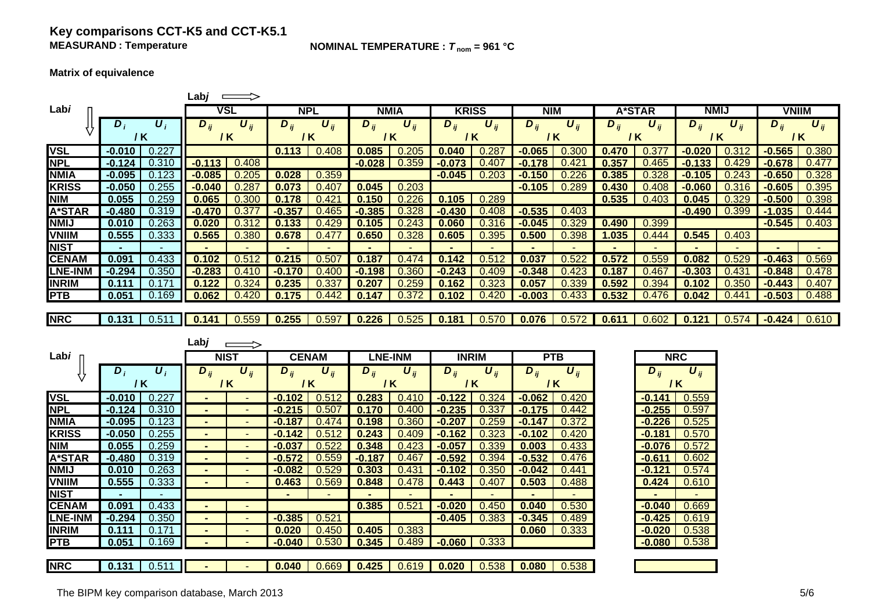### **Key comparisons CCT-K5 and CCT-K5.1 MEASURAND**

**NOMINAL TEMPERATURE :**  $T_{nom} = 961 °C$ 

**Matrix of equivalence**

|                |                |                    | Labj              | $\implies$            |                |                                |                     |                       |                     |                              |                              |                       |                |                |                              |          |              |          |
|----------------|----------------|--------------------|-------------------|-----------------------|----------------|--------------------------------|---------------------|-----------------------|---------------------|------------------------------|------------------------------|-----------------------|----------------|----------------|------------------------------|----------|--------------|----------|
| Labi           |                |                    |                   | <b>VSL</b>            |                | <b>NPL</b>                     |                     | <b>NMIA</b>           | <b>KRISS</b>        |                              | <b>NIM</b>                   |                       |                | <b>A*STAR</b>  | <b>NMIJ</b>                  |          | <b>VNIIM</b> |          |
|                | $D_i$          | $\boldsymbol{U}_i$ | $D_{ij}$          | $\boldsymbol{U}_{ij}$ | $D_{ij}$       | $\boldsymbol{U}_{ij}$          | $\overline{D}_{ij}$ | $\boldsymbol{U}_{ij}$ | $D_{ij}$            | $\boldsymbol{U}_{ij}$        | $D_{ij}$                     | $\boldsymbol{U}_{ij}$ | $D_{ij}$       | $U_{ii}$       | $D_{ij}$                     | $U_{ii}$ | $D_{ii}$     | $U_{ii}$ |
|                |                | / K                | $/$ K             |                       |                | $/$ K                          | $/$ K               |                       |                     | / K                          | $/$ K                        |                       | / K            |                | $/$ K                        |          | $/$ K        |          |
| <b>VSL</b>     | $-0.010$       | 0.227              |                   |                       | 0.113          | 0.408                          | 0.085               | 0.205                 | 0.040               | 0.287                        | $-0.065$                     | 0.300                 | 0.470          | 0.377          | $-0.020$                     | 0.312    | $-0.565$     | 0.380    |
| <b>NPL</b>     | $-0.124$       | 0.310              | $-0.113$          | 0.408                 |                |                                | $-0.028$            | 0.359                 | $-0.073$            | 0.407                        | $-0.178$                     | 0.421                 | 0.357          | 0.465          | $-0.133$                     | 0.429    | $-0.678$     | 0.477    |
| <b>NMIA</b>    | $-0.095$       | 0.123              | $-0.085$          | 0.205                 | 0.028          | 0.359                          |                     |                       | $-0.045$            | 0.203                        | $-0.150$                     | 0.226                 | 0.385          | 0.328          | $-0.105$                     | 0.243    | $-0.650$     | 0.328    |
| <b>KRISS</b>   | $-0.050$       | 0.255              | $-0.040$          | 0.287                 | 0.073          | 0.407                          | 0.045               | 0.203                 |                     |                              | $-0.105$                     | 0.289                 | 0.430          | 0.408          | $-0.060$                     | 0.316    | $-0.605$     | 0.395    |
| <b>NIM</b>     | 0.055          | 0.259              | 0.065             | 0.300                 | 0.178          | 0.421                          | 0.150               | 0.226                 | 0.105               | 0.289                        |                              |                       | 0.535          | 0.403          | 0.045                        | 0.329    | $-0.500$     | 0.398    |
| A*STAR         | $-0.480$       | 0.319              | $-0.470$          | 0.377                 | $-0.357$       | 0.465                          | $-0.385$            | 0.328                 | $-0.430$            | 0.408                        | $-0.535$                     | 0.403                 |                |                | $-0.490$                     | 0.399    | $-1.035$     | 0.444    |
| <b>NMIJ</b>    | 0.010          | 0.263              | 0.020             | 0.312                 | 0.133          | 0.429                          | 0.105               | 0.243                 | 0.060               | 0.316                        | $-0.045$                     | 0.329                 | 0.490          | 0.399          |                              |          | $-0.545$     | 0.403    |
| <b>VNIIM</b>   | 0.555          | 0.333              | 0.565             | 0.380                 | 0.678          | 0.477                          | 0.650               | 0.328                 | 0.605               | 0.395                        | 0.500                        | 0.398                 | 1.035          | 0.444          | 0.545                        | 0.403    |              |          |
| <b>NIST</b>    | $\sim$         | $\blacksquare$     | $\blacksquare$    |                       | $\blacksquare$ |                                |                     |                       | $\blacksquare$      | ٠                            |                              |                       |                |                | $\blacksquare$               |          |              |          |
| <b>CENAM</b>   | 0.091          | 0.433              | 0.102             | 0.512                 | 0.215          | 0.507                          | 0.187               | 0.474                 | 0.142               | 0.512                        | 0.037                        | 0.522                 | 0.572          | 0.559          | 0.082                        | 0.529    | $-0.463$     | 0.569    |
| <b>LNE-INM</b> | $-0.294$       | 0.350              | $-0.283$          | 0.410                 | $-0.170$       | 0.400                          | $-0.198$            | 0.360                 | $-0.243$            | 0.409                        | $-0.348$                     | 0.423                 | 0.187          | 0.467          | $-0.303$                     | 0.431    | $-0.848$     | 0.478    |
| <b>INRIM</b>   | 0.111<br>0.051 | 0.171<br>0.169     | 0.122             | 0.324<br>0.420        | 0.235          | 0.337<br>0.442                 | 0.207<br>0.147      | 0.259<br>0.372        | 0.162<br>0.102      | 0.323<br>0.420               | 0.057                        | 0.339<br>0.433        | 0.592<br>0.532 | 0.394          | 0.102                        | 0.350    | $-0.443$     | 0.407    |
| <b>PTB</b>     |                |                    | 0.062             |                       | 0.175          |                                |                     |                       |                     |                              | $-0.003$                     |                       |                | 0.476          | 0.042                        | 0.441    | $-0.503$     | 0.488    |
| <b>NRC</b>     | 0.131          | 0.511              | 0.141             | 0.559                 | 0.255          | 0.597                          | 0.226               | 0.525                 | 0.181               | 0.570                        | 0.076                        | 0.572                 | 0.611          | 0.602          | 0.121                        | 0.574    | $-0.424$     | 0.610    |
|                |                |                    |                   |                       |                |                                |                     |                       |                     |                              |                              |                       |                |                |                              |          |              |          |
|                |                |                    |                   |                       |                |                                |                     |                       |                     |                              |                              |                       |                |                |                              |          |              |          |
|                |                |                    | Labj              |                       |                |                                |                     |                       |                     |                              |                              |                       |                |                |                              |          |              |          |
| Lab <i>i</i>   |                |                    | <b>NIST</b>       |                       |                | <b>CENAM</b>                   |                     | <b>LNE-INM</b>        |                     | <b>INRIM</b>                 | <b>PTB</b>                   |                       |                |                | <b>NRC</b>                   |          |              |          |
|                | $D_i$          | $\boldsymbol{U}_i$ |                   |                       |                |                                |                     |                       |                     |                              |                              |                       |                |                |                              |          |              |          |
|                |                | $/$ K              | $D_{ij}$<br>$/$ K | $\boldsymbol{U}_{ij}$ | $D_{ij}$       | $\boldsymbol{U}_{ij}$<br>$/$ K | $D_{ij}$            | $U_{ij}$<br>$/$ K     | $\overline{D}_{ij}$ | $\boldsymbol{U}_{ij}$<br>7 K | $\overline{D}_{ij}$<br>$/$ K | $U_{ii}$              |                | $D_{ii}$       | $\boldsymbol{U}_{ij}$<br>/ K |          |              |          |
| <b>VSL</b>     | $-0.010$       | 0.227              |                   |                       | $-0.102$       | 0.512                          | 0.283               | 0.410                 | $-0.122$            | 0.324                        | $-0.062$                     | 0.420                 |                | $-0.141$       | 0.559                        |          |              |          |
| <b>NPL</b>     | $-0.124$       | 0.310              | $\blacksquare$    | $\sim$                | $-0.215$       | 0.507                          | 0.170               | 0.400                 | $-0.235$            | 0.337                        | $-0.175$                     | 0.442                 |                | $-0.255$       | 0.597                        |          |              |          |
| <b>NMIA</b>    | $-0.095$       | 0.123              | $\blacksquare$    | $\sim$                | $-0.187$       | 0.474                          | 0.198               | 0.360                 | $-0.207$            | 0.259                        | $-0.147$                     | 0.372                 |                | $-0.226$       | 0.525                        |          |              |          |
| <b>KRISS</b>   | $-0.050$       | 0.255              |                   |                       | $-0.142$       | 0.512                          | 0.243               | 0.409                 | $-0.162$            | 0.323                        | $-0.102$                     | 0.420                 |                | $-0.181$       | 0.570                        |          |              |          |
| <b>NIM</b>     | 0.055          | 0.259              |                   |                       | $-0.037$       | 0.522                          | 0.348               | 0.423                 | $-0.057$            | 0.339                        | 0.003                        | 0.433                 |                | $-0.076$       | 0.572                        |          |              |          |
| A*STAR         | $-0.480$       | 0.319              |                   |                       | $-0.572$       | 0.559                          | $-0.187$            | 0.467                 | $-0.592$            | 0.394                        | $-0.532$                     | 0.476                 |                | $-0.611$       | 0.602                        |          |              |          |
| <b>NMIJ</b>    | 0.010          | 0.263              |                   |                       | $-0.082$       | 0.529                          | 0.303               | 0.431                 | $-0.102$            | 0.350                        | $-0.042$                     | 0.441                 |                | $-0.121$       | 0.574                        |          |              |          |
| <b>VNIIM</b>   | 0.555          | 0.333              | ۰.                |                       | 0.463          | 0.569                          | 0.848               | 0.478                 | 0.443               | 0.407                        | 0.503                        | 0.488                 |                | 0.424          | 0.610                        |          |              |          |
| <b>NIST</b>    | $\sim$         | $\sim$             |                   |                       | $\blacksquare$ | $\blacksquare$                 | $\blacksquare$      | $\sim$                | $\blacksquare$      | $\sim$                       | $\blacksquare$               | $\sim$                |                | $\blacksquare$ | $\sim$                       |          |              |          |
| <b>CENAM</b>   | 0.091          | 0.433              | $\blacksquare$    |                       |                |                                | 0.385               | 0.521                 | $-0.020$            | 0.450                        | 0.040                        | 0.530                 |                | $-0.040$       | 0.669                        |          |              |          |
| <b>LNE-INM</b> | $-0.294$       | 0.350              |                   |                       | $-0.385$       | 0.521                          |                     |                       | $-0.405$            | 0.383                        | $-0.345$                     | 0.489                 |                | $-0.425$       | 0.619                        |          |              |          |
| <b>INRIM</b>   | 0.111          | 0.171              |                   |                       | 0.020          | 0.450                          | 0.405               | 0.383                 |                     |                              | 0.060                        | 0.333                 |                | $-0.020$       | 0.538                        |          |              |          |
| <b>PTB</b>     | 0.051          | 0.169              |                   |                       | $-0.040$       | 0.530                          | 0.345               | 0.489                 | $-0.060$            | 0.333                        |                              |                       |                | $-0.080$       | 0.538                        |          |              |          |
| <b>NRC</b>     | 0.131          | 0.511              |                   |                       | 0.040          | 0.669                          | 0.425               | 0.619                 | 0.020               | 0.538                        | 0.080                        | 0.538                 |                |                |                              |          |              |          |